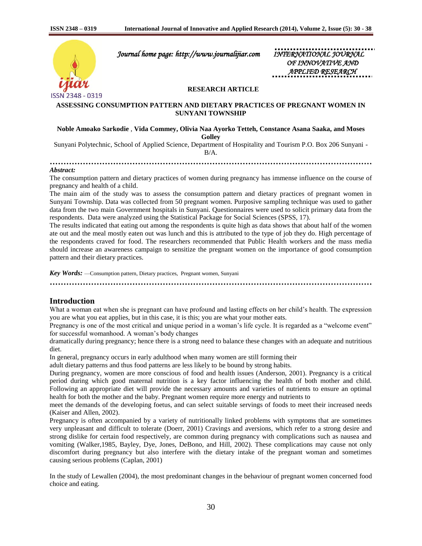

 *Journal home page: http://www.journalijiar.com INTERNATIONAL JOURNAL* 

 *OF INNOVATIVE AND APPLIED RESEARCH* 

# **RESEARCH ARTICLE**

## **ASSESSING CONSUMPTION PATTERN AND DIETARY PRACTICES OF PREGNANT WOMEN IN SUNYANI TOWNSHIP**

# **Noble Amoako Sarkodie** , **Vida Commey, Olivia Naa Ayorko Tetteh, Constance Asana Saaka, and Moses Golley**

Sunyani Polytechnic, School of Applied Science, Department of Hospitality and Tourism P.O. Box 206 Sunyani -

B/A.

#### *Abstract:*

The consumption pattern and dietary practices of women during pregnancy has immense influence on the course of pregnancy and health of a child.

The main aim of the study was to assess the consumption pattern and dietary practices of pregnant women in Sunyani Township. Data was collected from 50 pregnant women. Purposive sampling technique was used to gather data from the two main Government hospitals in Sunyani. Questionnaires were used to solicit primary data from the respondents. Data were analyzed using the Statistical Package for Social Sciences (SPSS, 17).

The results indicated that eating out among the respondents is quite high as data shows that about half of the women ate out and the meal mostly eaten out was lunch and this is attributed to the type of job they do. High percentage of the respondents craved for food. The researchers recommended that Public Health workers and the mass media should increase an awareness campaign to sensitize the pregnant women on the importance of good consumption pattern and their dietary practices.

*Key Words:* —Consumption pattern, Dietary practices, Pregnant women, Sunyani

**………………………………………………………………………………………………………**

# **Introduction**

What a woman eat when she is pregnant can have profound and lasting effects on her child's health. The expression you are what you eat applies, but in this case, it is this; you are what your mother eats.

Pregnancy is one of the most critical and unique period in a woman's life cycle. It is regarded as a "welcome event" for successful womanhood. A woman's body changes

dramatically during pregnancy; hence there is a strong need to balance these changes with an adequate and nutritious diet.

In general, pregnancy occurs in early adulthood when many women are still forming their

adult dietary patterns and thus food patterns are less likely to be bound by strong habits.

During pregnancy, women are more conscious of food and health issues (Anderson, 2001). Pregnancy is a critical period during which good maternal nutrition is a key factor influencing the health of both mother and child. Following an appropriate diet will provide the necessary amounts and varieties of nutrients to ensure an optimal health for both the mother and the baby. Pregnant women require more energy and nutrients to

meet the demands of the developing foetus, and can select suitable servings of foods to meet their increased needs (Kaiser and Allen, 2002).

Pregnancy is often accompanied by a variety of nutritionally linked problems with symptoms that are sometimes very unpleasant and difficult to tolerate (Doerr, 2001) Cravings and aversions, which refer to a strong desire and strong dislike for certain food respectively, are common during pregnancy with complications such as nausea and vomiting (Walker,1985, Bayley, Dye, Jones, DeBono, and Hill, 2002). These complications may cause not only discomfort during pregnancy but also interfere with the dietary intake of the pregnant woman and sometimes causing serious problems (Caplan, 2001)

In the study of Lewallen (2004), the most predominant changes in the behaviour of pregnant women concerned food choice and eating.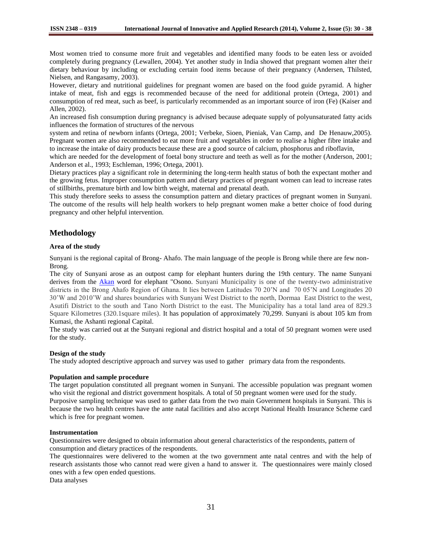Most women tried to consume more fruit and vegetables and identified many foods to be eaten less or avoided completely during pregnancy (Lewallen, 2004). Yet another study in India showed that pregnant women alter their dietary behaviour by including or excluding certain food items because of their pregnancy (Andersen, Thilsted, Nielsen, and Rangasamy, 2003).

However, dietary and nutritional guidelines for pregnant women are based on the food guide pyramid. A higher intake of meat, fish and eggs is recommended because of the need for additional protein (Ortega, 2001) and consumption of red meat, such as beef, is particularly recommended as an important source of iron (Fe) (Kaiser and Allen, 2002).

An increased fish consumption during pregnancy is advised because adequate supply of polyunsaturated fatty acids influences the formation of structures of the nervous

system and retina of newborn infants (Ortega, 2001; Verbeke, Sioen, Pieniak, Van Camp, and De Henauw,2005). Pregnant women are also recommended to eat more fruit and vegetables in order to realise a higher fibre intake and to increase the intake of dairy products because these are a good source of calcium, phosphorus and riboflavin,

which are needed for the development of foetal bony structure and teeth as well as for the mother (Anderson, 2001; Anderson et al., 1993; Eschleman, 1996; Ortega, 2001).

Dietary practices play a significant role in determining the long-term health status of both the expectant mother and the growing fetus. Improper consumption pattern and dietary practices of pregnant women can lead to increase rates of stillbirths, premature birth and low birth weight, maternal and prenatal death.

This study therefore seeks to assess the consumption pattern and dietary practices of pregnant women in Sunyani. The outcome of the results will help health workers to help pregnant women make a better choice of food during pregnancy and other helpful intervention.

# **Methodology**

### **Area of the study**

Sunyani is the regional capital of Brong- Ahafo. The main language of the people is Brong while there are few non-Brong.

The city of Sunyani arose as an outpost camp for elephant hunters during the 19th century. The name Sunyani derives from the [Akan](http://en.wikipedia.org/wiki/Akan_people) word for elephant "Osono. Sunyani Municipality is one of the twenty-two administrative districts in the Brong Ahafo Region of Ghana. It lies between Latitudes 70 20'N and 70 05'N and Longitudes 20 30'W and 2010'W and shares boundaries with Sunyani West District to the north, Dormaa East District to the west, Asutifi District to the south and Tano North District to the east. The Municipality has a total land area of 829.3 Square Kilometres (320.1square miles). It has population of approximately 70,299. Sunyani is about 105 km from Kumasi, the Ashanti regional Capital.

The study was carried out at the Sunyani regional and district hospital and a total of 50 pregnant women were used for the study.

#### **Design of the study**

The study adopted descriptive approach and survey was used to gather primary data from the respondents.

### **Population and sample procedure**

The target population constituted all pregnant women in Sunyani. The accessible population was pregnant women who visit the regional and district government hospitals. A total of 50 pregnant women were used for the study. Purposive sampling technique was used to gather data from the two main Government hospitals in Sunyani. This is because the two health centres have the ante natal facilities and also accept National Health Insurance Scheme card which is free for pregnant women.

#### **Instrumentation**

Questionnaires were designed to obtain information about general characteristics of the respondents, pattern of consumption and dietary practices of the respondents.

The questionnaires were delivered to the women at the two government ante natal centres and with the help of research assistants those who cannot read were given a hand to answer it. The questionnaires were mainly closed ones with a few open ended questions.

Data analyses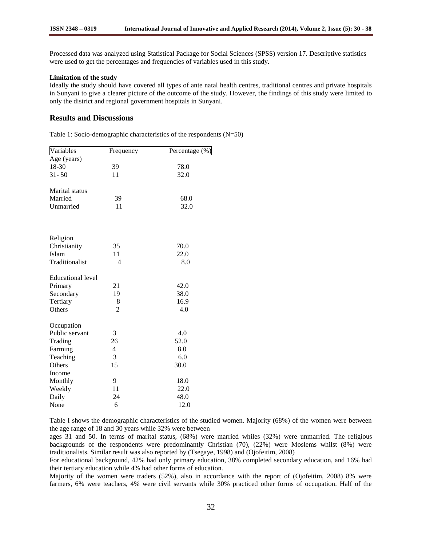Processed data was analyzed using Statistical Package for Social Sciences (SPSS) version 17. Descriptive statistics were used to get the percentages and frequencies of variables used in this study.

# **Limitation of the study**

Ideally the study should have covered all types of ante natal health centres, traditional centres and private hospitals in Sunyani to give a clearer picture of the outcome of the study. However, the findings of this study were limited to only the district and regional government hospitals in Sunyani.

# **Results and Discussions**

Table 1: Socio-demographic characteristics of the respondents (N=50)

| Variables                | Frequency      | Percentage (%) |
|--------------------------|----------------|----------------|
| Age (years)              |                |                |
| 18-30                    | 39             | 78.0           |
| $31 - 50$                | 11             | 32.0           |
|                          |                |                |
| Marital status           |                |                |
| Married                  | 39             | 68.0           |
| Unmarried                | 11             | 32.0           |
|                          |                |                |
|                          |                |                |
| Religion                 |                |                |
| Christianity             | 35             | 70.0           |
| Islam                    | 11             | 22.0           |
| Traditionalist           | 4              | 8.0            |
|                          |                |                |
| <b>Educational level</b> |                |                |
| Primary                  | 21             | 42.0           |
| Secondary                | 19             | 38.0           |
| Tertiary                 | 8              | 16.9           |
| Others                   | $\overline{2}$ | 4.0            |
|                          |                |                |
| Occupation               |                |                |
| Public servant           | 3              | 4.0            |
| Trading                  | 26             | 52.0           |
| Farming                  | 4              | 8.0            |
| Teaching                 | 3              | 6.0            |
| Others                   | 15             | 30.0           |
| Income                   |                |                |
| Monthly                  | 9              | 18.0           |
| Weekly                   | 11             | 22.0           |
| Daily                    | 24             | 48.0           |
| None                     | 6              | 12.0           |

Table I shows the demographic characteristics of the studied women. Majority (68%) of the women were between the age range of 18 and 30 years while 32% were between

ages 31 and 50. In terms of marital status, (68%) were married whiles (32%) were unmarried. The religious backgrounds of the respondents were predominantly Christian (70), (22%) were Moslems whilst (8%) were traditionalists. Similar result was also reported by (Tsegaye, 1998) and (Ojofeitim, 2008)

For educational background, 42% had only primary education, 38% completed secondary education, and 16% had their tertiary education while 4% had other forms of education.

Majority of the women were traders (52%), also in accordance with the report of (Ojofeitim, 2008) 8% were farmers, 6% were teachers, 4% were civil servants while 30% practiced other forms of occupation. Half of the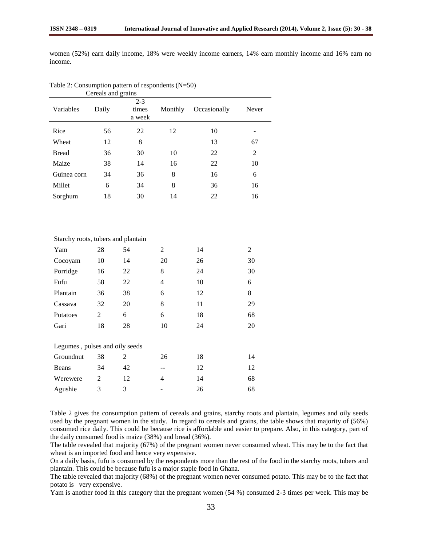women (52%) earn daily income, 18% were weekly income earners, 14% earn monthly income and 16% earn no income.

| Variables                          | Daily          | $2 - 3$<br>times<br>a week | Monthly        | Occasionally | Never          |
|------------------------------------|----------------|----------------------------|----------------|--------------|----------------|
| Rice                               | 56             | 22                         | 12             | 10           |                |
| Wheat                              | 12             | 8                          |                | 13           | 67             |
| <b>Bread</b>                       | 36             | 30                         | 10             | 22           | $\overline{2}$ |
| Maize                              | 38             | 14                         | 16             | 22           | 10             |
| Guinea corn                        | 34             | 36                         | 8              | 16           | 6              |
| Millet                             | 6              | 34                         | 8              | 36           | 16             |
| Sorghum                            | 18             | 30                         | 14             | 22           | 16             |
| Starchy roots, tubers and plantain |                |                            |                |              |                |
| Yam                                | 28             | 54                         | $\mathbf{2}$   | 14           | $\overline{2}$ |
| Cocoyam                            | 10             | 14                         | 20             | 26           | 30             |
| Porridge                           | 16             | 22                         | 8              | 24           | 30             |
| Fufu                               | 58             | 22                         | $\overline{4}$ | 10           | 6              |
| Plantain                           | 36             | 38                         | 6              | 12           | 8              |
| Cassava                            | 32             | 20                         | 8              | 11           | 29             |
| Potatoes                           | $\overline{2}$ | 6                          | 6              | 18           | 68             |
| Gari                               | 18             | 28                         | $10\,$         | 24           | 20             |
| Legumes, pulses and oily seeds     |                |                            |                |              |                |
| Groundnut                          | 38             | 2                          | 26             | 18           | 14             |
| <b>Beans</b>                       | 34             | 42                         | --             | 12           | 12             |
| Werewere                           | $\overline{2}$ | 12                         | 4              | 14           | 68             |
| Agushie                            | 3              | 3                          |                | 26           | 68             |

Table 2: Consumption pattern of respondents (N=50) Cereals and grains

Table 2 gives the consumption pattern of cereals and grains, starchy roots and plantain, legumes and oily seeds used by the pregnant women in the study. In regard to cereals and grains, the table shows that majority of (56%) consumed rice daily. This could be because rice is affordable and easier to prepare. Also, in this category, part of the daily consumed food is maize (38%) and bread (36%).

The table revealed that majority (67%) of the pregnant women never consumed wheat. This may be to the fact that wheat is an imported food and hence very expensive.

On a daily basis, fufu is consumed by the respondents more than the rest of the food in the starchy roots, tubers and plantain. This could be because fufu is a major staple food in Ghana.

The table revealed that majority (68%) of the pregnant women never consumed potato. This may be to the fact that potato is very expensive.

Yam is another food in this category that the pregnant women (54 %) consumed 2-3 times per week. This may be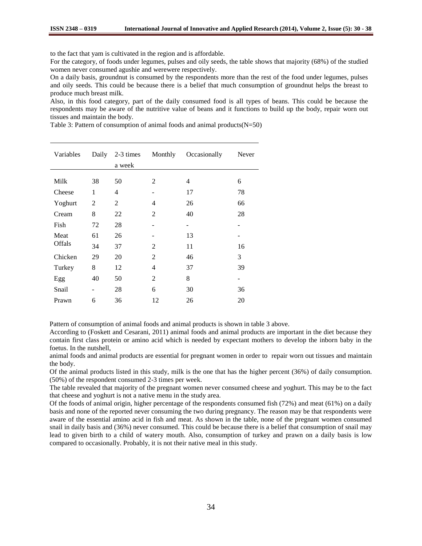to the fact that yam is cultivated in the region and is affordable.

For the category, of foods under legumes, pulses and oily seeds, the table shows that majority (68%) of the studied women never consumed agushie and werewere respectively.

On a daily basis, groundnut is consumed by the respondents more than the rest of the food under legumes, pulses and oily seeds. This could be because there is a belief that much consumption of groundnut helps the breast to produce much breast milk.

Also, in this food category, part of the daily consumed food is all types of beans. This could be because the respondents may be aware of the nutritive value of beans and it functions to build up the body, repair worn out tissues and maintain the body.

Table 3: Pattern of consumption of animal foods and animal products $(N=50)$ 

| Variables | Daily          | 2-3 times<br>a week | Monthly        | Occasionally | Never |
|-----------|----------------|---------------------|----------------|--------------|-------|
|           |                |                     |                |              |       |
| Milk      | 38             | 50                  | 2              | 4            | 6     |
| Cheese    | 1              | 4                   |                | 17           | 78    |
| Yoghurt   | $\overline{2}$ | $\overline{2}$      | 4              | 26           | 66    |
| Cream     | 8              | 22                  | 2              | 40           | 28    |
| Fish      | 72             | 28                  |                |              | -     |
| Meat      | 61             | 26                  |                | 13           |       |
| Offals    | 34             | 37                  | 2              | 11           | 16    |
| Chicken   | 29             | 20                  | $\overline{2}$ | 46           | 3     |
| Turkey    | 8              | 12                  | 4              | 37           | 39    |
| Egg       | 40             | 50                  | 2              | 8            |       |
| Snail     |                | 28                  | 6              | 30           | 36    |
| Prawn     | 6              | 36                  | 12             | 26           | 20    |

Pattern of consumption of animal foods and animal products is shown in table 3 above.

According to (Foskett and Cesarani, 2011) animal foods and animal products are important in the diet because they contain first class protein or amino acid which is needed by expectant mothers to develop the inborn baby in the foetus. In the nutshell,

animal foods and animal products are essential for pregnant women in order to repair worn out tissues and maintain the body.

Of the animal products listed in this study, milk is the one that has the higher percent (36%) of daily consumption. (50%) of the respondent consumed 2-3 times per week.

The table revealed that majority of the pregnant women never consumed cheese and yoghurt. This may be to the fact that cheese and yoghurt is not a native menu in the study area.

Of the foods of animal origin, higher percentage of the respondents consumed fish (72%) and meat (61%) on a daily basis and none of the reported never consuming the two during pregnancy. The reason may be that respondents were aware of the essential amino acid in fish and meat. As shown in the table, none of the pregnant women consumed snail in daily basis and (36%) never consumed. This could be because there is a belief that consumption of snail may lead to given birth to a child of watery mouth. Also, consumption of turkey and prawn on a daily basis is low compared to occasionally. Probably, it is not their native meal in this study.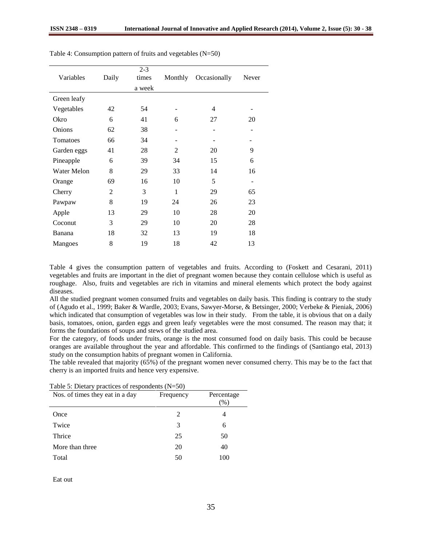| Variables          | Daily | $2 - 3$<br>times | Monthly        | Occasionally | Never |
|--------------------|-------|------------------|----------------|--------------|-------|
|                    |       | a week           |                |              |       |
| Green leafy        |       |                  |                |              |       |
| Vegetables         | 42    | 54               |                | 4            |       |
| Okro               | 6     | 41               | 6              | 27           | 20    |
| Onions             | 62    | 38               |                |              |       |
| Tomatoes           | 66    | 34               |                |              |       |
| Garden eggs        | 41    | 28               | $\overline{2}$ | 20           | 9     |
| Pineapple          | 6     | 39               | 34             | 15           | 6     |
| <b>Water Melon</b> | 8     | 29               | 33             | 14           | 16    |
| Orange             | 69    | 16               | 10             | 5            | -     |
| Cherry             | 2     | 3                | 1              | 29           | 65    |
| Pawpaw             | 8     | 19               | 24             | 26           | 23    |
| Apple              | 13    | 29               | 10             | 28           | 20    |
| Coconut            | 3     | 29               | 10             | 20           | 28    |
| Banana             | 18    | 32               | 13             | 19           | 18    |
| Mangoes            | 8     | 19               | 18             | 42           | 13    |

Table 4: Consumption pattern of fruits and vegetables (N=50)

Table 4 gives the consumption pattern of vegetables and fruits. According to (Foskett and Cesarani, 2011) vegetables and fruits are important in the diet of pregnant women because they contain cellulose which is useful as roughage. Also, fruits and vegetables are rich in vitamins and mineral elements which protect the body against diseases.

All the studied pregnant women consumed fruits and vegetables on daily basis. This finding is contrary to the study of (Agudo et al., 1999; Baker & Wardle, 2003; Evans, Sawyer-Morse, & Betsinger, 2000; Verbeke & Pieniak, 2006) which indicated that consumption of vegetables was low in their study. From the table, it is obvious that on a daily basis, tomatoes, onion, garden eggs and green leafy vegetables were the most consumed. The reason may that; it forms the foundations of soups and stews of the studied area.

For the category, of foods under fruits, orange is the most consumed food on daily basis. This could be because oranges are available throughout the year and affordable. This confirmed to the findings of (Santiango etal, 2013) study on the consumption habits of pregnant women in California.

The table revealed that majority (65%) of the pregnant women never consumed cherry. This may be to the fact that cherry is an imported fruits and hence very expensive.

| Nos. of times they eat in a day | Frequency      | Percentage<br>(%) |
|---------------------------------|----------------|-------------------|
| Once                            | $\mathfrak{D}$ | 4                 |
| Twice                           | 3              | 6                 |
| Thrice                          | 25             | 50                |
| More than three                 | 20             | 40                |
| Total                           | 50             | 100               |

Table 5: Dietary practices of respondents (N=50)

Eat out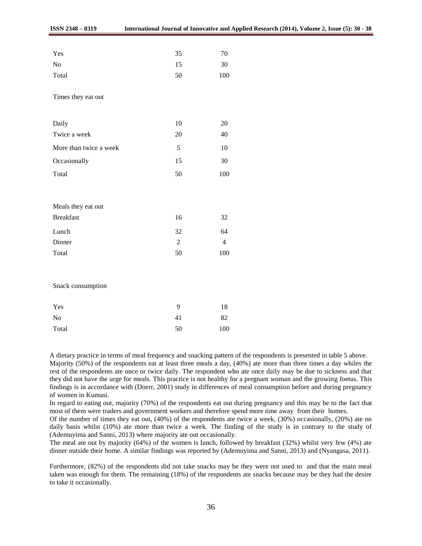| 35 | 70  |
|----|-----|
| 15 | 30  |
| 50 | 100 |
|    |     |

Times they eat out

| 10 | 20 |
|----|----|
| 20 | 40 |
| 5  | 10 |
| 15 | 30 |
|    |    |

Total 50 100

| Meals they eat out |                             |    |
|--------------------|-----------------------------|----|
| <b>Breakfast</b>   | 16                          | 32 |
| Lunch              | 32                          | 64 |
| Dinner             | $\mathcal{D}_{\mathcal{L}}$ |    |
| Total              | 50                          | 00 |

Snack consumption

| Yes            | q  | 18  |
|----------------|----|-----|
| N <sub>0</sub> | 41 | 82  |
| Total          | 50 | 100 |

A dietary practice in terms of meal frequency and snacking pattern of the respondents is presented in table 5 above. Majority (50%) of the respondents eat at least three meals a day, (40%) ate more than three times a day whiles the rest of the respondents ate once or twice daily. The respondent who ate once daily may be due to sickness and that they did not have the urge for meals. This practice is not healthy for a pregnant woman and the growing foetus. This findings is in accordance with (Doerr, 2001) study in differences of meal consumption before and during pregnancy of women in Kumasi.

In regard to eating out, majority (70%) of the respondents eat out during pregnancy and this may be to the fact that most of them were traders and government workers and therefore spend more time away from their homes.

Of the number of times they eat out, (40%) of the respondents ate twice a week, (30%) occasionally, (20%) ate on daily basis whilst (10%) ate more than twice a week. The finding of the study is in contrary to the study of (Ademuyima and Sanni, 2013) where majority ate out occasionally.

The meal ate out by majority (64%) of the women is lunch, followed by breakfast (32%) whilst very few (4%) ate dinner outside their home. A similar findings was reported by (Ademuyima and Sanni, 2013) and (Nyangasa, 2011).

Furthermore, (82%) of the respondents did not take snacks may be they were not used to and that the main meal taken was enough for them. The remaining (18%) of the respondents ate snacks because may be they had the desire to take it occasionally.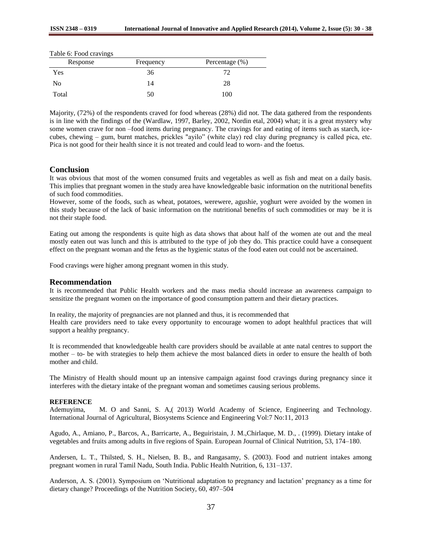|  | Table 6: Food cravings |
|--|------------------------|
|  |                        |

| Response | Frequency | Percentage $(\%)$ |
|----------|-----------|-------------------|
| Yes      | 36        |                   |
| No       | 14        | 28                |
| Total    | 50        | 100               |

Majority, (72%) of the respondents craved for food whereas (28%) did not. The data gathered from the respondents is in line with the findings of the (Wardlaw, 1997, Barley, 2002, Nordin etal, 2004) what; it is a great mystery why some women crave for non –food items during pregnancy. The cravings for and eating of items such as starch, icecubes, chewing – gum, burnt matches, prickles "ayilo" (white clay) red clay during pregnancy is called pica, etc. Pica is not good for their health since it is not treated and could lead to worn- and the foetus.

# **Conclusion**

It was obvious that most of the women consumed fruits and vegetables as well as fish and meat on a daily basis. This implies that pregnant women in the study area have knowledgeable basic information on the nutritional benefits of such food commodities.

However, some of the foods, such as wheat, potatoes, werewere, agushie, yoghurt were avoided by the women in this study because of the lack of basic information on the nutritional benefits of such commodities or may be it is not their staple food.

Eating out among the respondents is quite high as data shows that about half of the women ate out and the meal mostly eaten out was lunch and this is attributed to the type of job they do. This practice could have a consequent effect on the pregnant woman and the fetus as the hygienic status of the food eaten out could not be ascertained.

Food cravings were higher among pregnant women in this study.

#### **Recommendation**

It is recommended that Public Health workers and the mass media should increase an awareness campaign to sensitize the pregnant women on the importance of good consumption pattern and their dietary practices.

In reality, the majority of pregnancies are not planned and thus, it is recommended that Health care providers need to take every opportunity to encourage women to adopt healthful practices that will support a healthy pregnancy.

It is recommended that knowledgeable health care providers should be available at ante natal centres to support the mother – to- be with strategies to help them achieve the most balanced diets in order to ensure the health of both mother and child.

The Ministry of Health should mount up an intensive campaign against food cravings during pregnancy since it interferes with the dietary intake of the pregnant woman and sometimes causing serious problems.

#### **REFERENCE**

Ademuyima, M. O and Sanni, S. A,( 2013) World Academy of Science, Engineering and Technology. International Journal of Agricultural, Biosystems Science and Engineering Vol:7 No:11, 2013

Agudo, A., Amiano, P., Barcos, A., Barricarte, A., Beguiristain, J. M.,Chirlaque, M. D., . (1999). Dietary intake of vegetables and fruits among adults in five regions of Spain. European Journal of Clinical Nutrition, 53, 174–180.

Andersen, L. T., Thilsted, S. H., Nielsen, B. B., and Rangasamy, S. (2003). Food and nutrient intakes among pregnant women in rural Tamil Nadu, South India. Public Health Nutrition, 6, 131–137.

Anderson, A. S. (2001). Symposium on 'Nutritional adaptation to pregnancy and lactation' pregnancy as a time for dietary change? Proceedings of the Nutrition Society, 60, 497–504